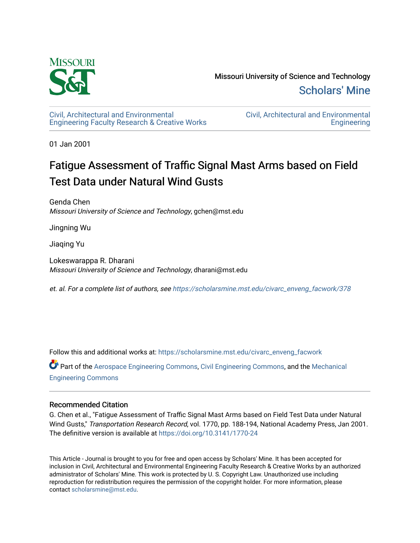

[Civil, Architectural and Environmental](https://scholarsmine.mst.edu/civarc_enveng_facwork) [Engineering Faculty Research & Creative Works](https://scholarsmine.mst.edu/civarc_enveng_facwork) [Civil, Architectural and Environmental](https://scholarsmine.mst.edu/civarc_enveng)  **Engineering** 

01 Jan 2001

## Fatigue Assessment of Traffic Signal Mast Arms based on Field Test Data under Natural Wind Gusts

Genda Chen Missouri University of Science and Technology, gchen@mst.edu

Jingning Wu

Jiaqing Yu

Lokeswarappa R. Dharani Missouri University of Science and Technology, dharani@mst.edu

et. al. For a complete list of authors, see [https://scholarsmine.mst.edu/civarc\\_enveng\\_facwork/378](https://scholarsmine.mst.edu/civarc_enveng_facwork/378)

Follow this and additional works at: [https://scholarsmine.mst.edu/civarc\\_enveng\\_facwork](https://scholarsmine.mst.edu/civarc_enveng_facwork?utm_source=scholarsmine.mst.edu%2Fcivarc_enveng_facwork%2F378&utm_medium=PDF&utm_campaign=PDFCoverPages) 

Part of the [Aerospace Engineering Commons](http://network.bepress.com/hgg/discipline/218?utm_source=scholarsmine.mst.edu%2Fcivarc_enveng_facwork%2F378&utm_medium=PDF&utm_campaign=PDFCoverPages), [Civil Engineering Commons,](http://network.bepress.com/hgg/discipline/252?utm_source=scholarsmine.mst.edu%2Fcivarc_enveng_facwork%2F378&utm_medium=PDF&utm_campaign=PDFCoverPages) and the [Mechanical](http://network.bepress.com/hgg/discipline/293?utm_source=scholarsmine.mst.edu%2Fcivarc_enveng_facwork%2F378&utm_medium=PDF&utm_campaign=PDFCoverPages)  [Engineering Commons](http://network.bepress.com/hgg/discipline/293?utm_source=scholarsmine.mst.edu%2Fcivarc_enveng_facwork%2F378&utm_medium=PDF&utm_campaign=PDFCoverPages) 

## Recommended Citation

G. Chen et al., "Fatigue Assessment of Traffic Signal Mast Arms based on Field Test Data under Natural Wind Gusts," Transportation Research Record, vol. 1770, pp. 188-194, National Academy Press, Jan 2001. The definitive version is available at <https://doi.org/10.3141/1770-24>

This Article - Journal is brought to you for free and open access by Scholars' Mine. It has been accepted for inclusion in Civil, Architectural and Environmental Engineering Faculty Research & Creative Works by an authorized administrator of Scholars' Mine. This work is protected by U. S. Copyright Law. Unauthorized use including reproduction for redistribution requires the permission of the copyright holder. For more information, please contact [scholarsmine@mst.edu](mailto:scholarsmine@mst.edu).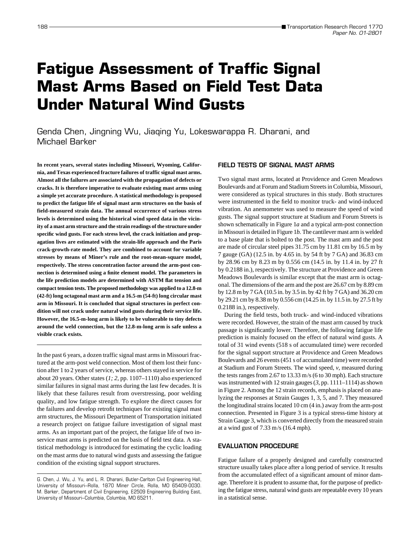# **Fatigue Assessment of Traffic Signal Mast Arms Based on Field Test Data Under Natural Wind Gusts**

Genda Chen, Jingning Wu, Jiaqing Yu, Lokeswarappa R. Dharani, and Michael Barker

**In recent years, several states including Missouri, Wyoming, California, and Texas experienced fracture failures of traffic signal mast arms. Almost all the failures are associated with the propagation of defects or cracks. It is therefore imperative to evaluate existing mast arms using a simple yet accurate procedure. A statistical methodology is proposed to predict the fatigue life of signal mast arm structures on the basis of field-measured strain data. The annual occurrence of various stress levels is determined using the historical wind speed data in the vicinity of a mast arm structure and the strain readings of the structure under specific wind gusts. For each stress level, the crack initiation and propagation lives are estimated with the strain-life approach and the Paris crack-growth-rate model. They are combined to account for variable stresses by means of Miner's rule and the root-mean-square model, respectively. The stress concentration factor around the arm-post connection is determined using a finite element model. The parameters in the life prediction models are determined with ASTM flat tension and compact tension tests. The proposed methodology was applied to a 12.8-m (42-ft) long octagonal mast arm and a 16.5-m (54-ft) long circular mast arm in Missouri. It is concluded that signal structures in perfect condition will not crack under natural wind gusts during their service life. However, the 16.5-m-long arm is likely to be vulnerable to tiny defects around the weld connection, but the 12.8-m-long arm is safe unless a visible crack exists.**

In the past 6 years, a dozen traffic signal mast arms in Missouri fractured at the arm-post weld connection. Most of them lost their function after 1 to 2 years of service, whereas others stayed in service for about 20 years. Other states (*1; 2,* pp. 1107–1110) also experienced similar failures in signal mast arms during the last few decades. It is likely that these failures result from overstressing, poor welding quality, and low fatigue strength. To explore the direct causes for the failures and develop retrofit techniques for existing signal mast arm structures, the Missouri Department of Transportation initiated a research project on fatigue failure investigation of signal mast arms. As an important part of the project, the fatigue life of two inservice mast arms is predicted on the basis of field test data. A statistical methodology is introduced for estimating the cyclic loading on the mast arms due to natural wind gusts and assessing the fatigue condition of the existing signal support structures.

#### **FIELD TESTS OF SIGNAL MAST ARMS**

Two signal mast arms, located at Providence and Green Meadows Boulevards and at Forum and Stadium Streets in Columbia, Missouri, were considered as typical structures in this study. Both structures were instrumented in the field to monitor truck- and wind-induced vibration. An anemometer was used to measure the speed of wind gusts. The signal support structure at Stadium and Forum Streets is shown schematically in Figure 1*a* and a typical arm-post connection in Missouri is detailed in Figure 1*b.* The cantilever mast arm is welded to a base plate that is bolted to the post. The mast arm and the post are made of circular steel pipes 31.75 cm by 11.81 cm by 16.5 m by 7 gauge (GA) (12.5 in. by 4.65 in. by 54 ft by 7 GA) and 36.83 cm by 28.96 cm by 8.23 m by 0.556 cm (14.5 in. by 11.4 in. by 27 ft by 0.2188 in.), respectively. The structure at Providence and Green Meadows Boulevards is similar except that the mast arm is octagonal. The dimensions of the arm and the post are 26.67 cm by 8.89 cm by 12.8 m by 7 GA (10.5 in. by 3.5 in. by 42 ft by 7 GA) and 36.20 cm by 29.21 cm by 8.38 m by 0.556 cm (14.25 in. by 11.5 in. by 27.5 ft by 0.2188 in.), respectively.

During the field tests, both truck- and wind-induced vibrations were recorded. However, the strain of the mast arm caused by truck passage is significantly lower. Therefore, the following fatigue life prediction is mainly focused on the effect of natural wind gusts. A total of 31 wind events (518 s of accumulated time) were recorded for the signal support structure at Providence and Green Meadows Boulevards and 26 events (451 s of accumulated time) were recorded at Stadium and Forum Streets. The wind speed, *v*, measured during the tests ranges from 2.67 to 13.33 m/s (6 to 30 mph). Each structure was instrumented with 12 strain gauges (*3,* pp. 1111–1114) as shown in Figure 2. Among the 12 strain records, emphasis is placed on analyzing the responses at Strain Gauges 1, 3, 5, and 7. They measured the longitudinal strains located 10 cm (4 in.) away from the arm-post connection. Presented in Figure 3 is a typical stress-time history at Strain Gauge 3, which is converted directly from the measured strain at a wind gust of 7.33 m/s (16.4 mph).

## **EVALUATION PROCEDURE**

Fatigue failure of a properly designed and carefully constructed structure usually takes place after a long period of service. It results from the accumulated effect of a significant amount of minor damage. Therefore it is prudent to assume that, for the purpose of predicting the fatigue stress, natural wind gusts are repeatable every 10 years in a statistical sense.

G. Chen, J. Wu, J. Yu, and L. R. Dharani, Butler-Carlton Civil Engineering Hall, University of Missouri–Rolla, 1870 Miner Circle, Rolla, MO 65409-0030. M. Barker, Department of Civil Engineering, E2509 Engineering Building East, University of Missouri–Columbia, Columbia, MO 65211.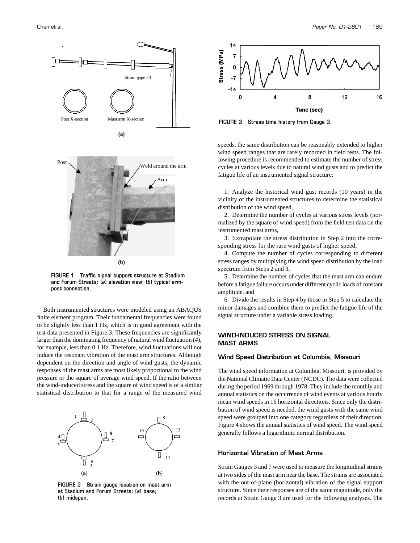



**(b)**

**FIGURE 1 Traffic signal support structure at Stadium and Forum Streets: (***a***) elevation view; (***b***) typical armpost connection.**

Both instrumented structures were modeled using an ABAQUS finite element program. Their fundamental frequencies were found to be slightly less than 1 Hz, which is in good agreement with the test data presented in Figure 3. These frequencies are significantly larger than the dominating frequency of natural wind fluctuation (*4*), for example, less than 0.1 Hz. Therefore, wind fluctuations will not induce the resonant vibration of the mast arm structures. Although dependent on the direction and angle of wind gusts, the dynamic responses of the mast arms are most likely proportional to the wind pressure or the square of average wind speed. If the ratio between the wind-induced stress and the square of wind speed is of a similar statistical distribution to that for a range of the measured wind



**FIGURE 2 Strain gauge location on mast arm at Stadium and Forum Streets: (***a***) base; (***b***) midspan.**





**FIGURE 3 Stress time history from Gauge 3.**

speeds, the same distribution can be reasonably extended to higher wind speed ranges that are rarely recorded in field tests. The following procedure is recommended to estimate the number of stress cycles at various levels due to natural wind gusts and to predict the fatigue life of an instrumented signal structure:

1. Analyze the historical wind gust records (10 years) in the vicinity of the instrumented structures to determine the statistical distribution of the wind speed,

2. Determine the number of cycles at various stress levels (normalized by the square of wind speed) from the field test data on the instrumented mast arms,

3. Extrapolate the stress distribution in Step 2 into the corresponding stress for the rare wind gusts of higher speed,

4. Compute the number of cycles corresponding to different stress ranges by multiplying the wind speed distribution by the load spectrum from Steps 2 and 3,

5. Determine the number of cycles that the mast arm can endure before a fatigue failure occurs under different cyclic loads of constant amplitude, and

6. Divide the results in Step 4 by those in Step 5 to calculate the minor damages and combine them to predict the fatigue life of the signal structure under a variable stress loading.

## **WIND-INDUCED STRESS ON SIGNAL MAST ARMS**

#### **Wind Speed Distribution at Columbia, Missouri**

The wind speed information at Columbia, Missouri, is provided by the National Climatic Data Center (NCDC). The data were collected during the period 1969 through 1978. They include the monthly and annual statistics on the occurrence of wind events at various hourly mean wind speeds in 16 horizontal directions. Since only the distribution of wind speed is needed, the wind gusts with the same wind speed were grouped into one category regardless of their direction. Figure 4 shows the annual statistics of wind speed. The wind speed generally follows a logarithmic normal distribution.

## **Horizontal Vibration of Mast Arms**

Strain Gauges 3 and 7 were used to measure the longitudinal strains at two sides of the mast arm near the base. The strains are associated with the out-of-plane (horizontal) vibration of the signal support structure. Since their responses are of the same magnitude, only the records at Strain Gauge 3 are used for the following analyses. The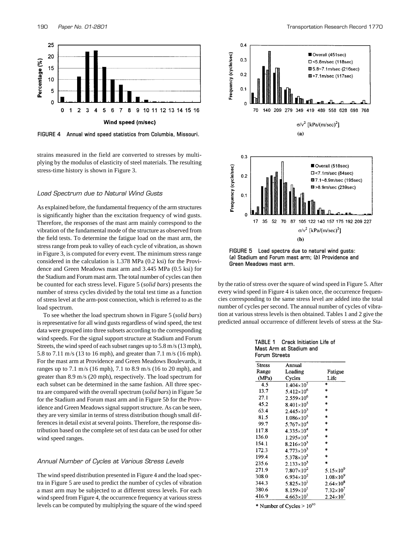

**FIGURE 4 Annual wind speed statistics from Columbia, Missouri.**

strains measured in the field are converted to stresses by multiplying by the modulus of elasticity of steel materials. The resulting stress-time history is shown in Figure 3.

#### *Load Spectrum due to Natural Wind Gusts*

As explained before, the fundamental frequency of the arm structures is significantly higher than the excitation frequency of wind gusts. Therefore, the responses of the mast arm mainly correspond to the vibration of the fundamental mode of the structure as observed from the field tests. To determine the fatigue load on the mast arm, the stress range from peak to valley of each cycle of vibration, as shown in Figure 3, is computed for every event. The minimum stress range considered in the calculation is 1.378 MPa (0.2 ksi) for the Providence and Green Meadows mast arm and 3.445 MPa (0.5 ksi) for the Stadium and Forum mast arm. The total number of cycles can then be counted for each stress level. Figure 5 (*solid bars*) presents the number of stress cycles divided by the total test time as a function of stress level at the arm-post connection, which is referred to as the load spectrum.

To see whether the load spectrum shown in Figure 5 (*solid bars*) is representative for all wind gusts regardless of wind speed, the test data were grouped into three subsets according to the corresponding wind speeds. For the signal support structure at Stadium and Forum Streets, the wind speed of each subset ranges up to 5.8 m/s (13 mph), 5.8 to 7.11 m/s (13 to 16 mph), and greater than 7.1 m/s (16 mph). For the mast arm at Providence and Green Meadows Boulevards, it ranges up to 7.1 m/s (16 mph), 7.1 to 8.9 m/s (16 to 20 mph), and greater than 8.9 m/s (20 mph), respectively. The load spectrum for each subset can be determined in the same fashion. All three spectra are compared with the overall spectrum (*solid bars*) in Figure 5*a* for the Stadium and Forum mast arm and in Figure 5*b* for the Providence and Green Meadows signal support structure. As can be seen, they are very similar in terms of stress distribution though small differences in detail exist at several points. Therefore, the response distribution based on the complete set of test data can be used for other wind speed ranges.

#### *Annual Number of Cycles at Various Stress Levels*

The wind speed distribution presented in Figure 4 and the load spectra in Figure 5 are used to predict the number of cycles of vibration a mast arm may be subjected to at different stress levels. For each wind speed from Figure 4, the occurrence frequency at various stress levels can be computed by multiplying the square of the wind speed



**FIGURE 5 Load spectra due to natural wind gusts: (***a***) Stadium and Forum mast arm; (***b***) Providence and Green Meadows mast arm.**

by the ratio of stress over the square of wind speed in Figure 5. After every wind speed in Figure 4 is taken once, the occurrence frequencies corresponding to the same stress level are added into the total number of cycles per second. The annual number of cycles of vibration at various stress levels is then obtained. Tables 1 and 2 give the predicted annual occurrence of different levels of stress at the Sta-

|               | TABLE 1 Crack Initiation Life of |  |  |  |  |
|---------------|----------------------------------|--|--|--|--|
|               | Mast Arm at Stadium and          |  |  |  |  |
| Forum Streets |                                  |  |  |  |  |

| <b>Stress</b> | Annual              |                    |
|---------------|---------------------|--------------------|
| Range         | Loading             | Fatigue            |
| (MPa)         | Cycles              | Life               |
| 4.5           | $1.404\times10^{7}$ | 冰                  |
| 13.7          | $5.412\times10^{6}$ | ×                  |
| 27.1          | $2.559\times10^{6}$ | $\ast$             |
| 45.2          | $8.401\times10^{5}$ | ∗                  |
| 63.4          | $2.445\times10^{5}$ | 永                  |
| 81.5          | $1.086\times10^{5}$ | $\ast$             |
| 99.7          | $5.767\times10^{4}$ | ÷                  |
| 117.8         | $4.335\times10^{4}$ | $\ast$             |
| 136.0         | $1.295\times10^{4}$ | ×.                 |
| 154.1         | $8.216\times10^{3}$ | $\star$            |
| 172.3         | $4.773\times10^{3}$ | *                  |
| 199.4         | $5.378\times10^{3}$ | $\ast$             |
| 235.6         | $2.133\times10^{3}$ | ×.                 |
| 271.9         | $7.807\times10^{2}$ | $5.15\times10^{9}$ |
| 308.0         | $6.934\times10^{2}$ | $1.08\times10^{9}$ |
| 344.3         | $5.825\times10^{1}$ | $2.64\times10^{8}$ |
| 380.6         | $8.159\times10^{1}$ | $7.32\times10^{7}$ |
| 416.9         | $4.663\times10^{1}$ | $2.24\times10^{7}$ |

\* Number of Cycles >  $10^{10}$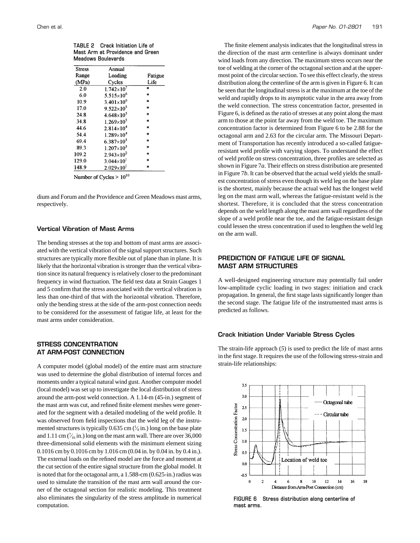|               | Meadows Boulevards  |         |
|---------------|---------------------|---------|
| <b>Stress</b> | Annual              |         |
| Range         | Loading             | Fatigue |
| (MPa)         | Cycles              | Life    |
| 2.0           | $1.742\times10^{7}$ | $\ast$  |
| 6.0           | $5.515\times10^{6}$ | $\ast$  |
| 10.9          | $3.401\times10^{6}$ | $\ast$  |
| 17.0          | $9.522\times10^{5}$ | $\star$ |
| 24.8          | $4.648\times10^{5}$ | $\ast$  |
| 34.8          | $1.269\times10^{5}$ | $\ast$  |
| 44.6          | $2.814\times10^{4}$ | $\star$ |
| 54.4          | $1.289\times10^{4}$ | $\star$ |
| 69.4          | $6.387\times10^{3}$ | $\ast$  |
| 89.3          | $1.207\times10^{3}$ | $\star$ |
| 109.2         | $2.943\times10^{2}$ | $\star$ |
| 129.0         | $3.044\times10^{1}$ | $\star$ |
| 148.9         | $2.029\times10^{1}$ | $\ast$  |
|               | $-10$               |         |

**TABLE 2 Crack Initiation Life of Mast Arm at Providence and Green**

Number of Cycles  $> 10^{10}$ 

dium and Forum and the Providence and Green Meadows mast arms, respectively.

#### **Vertical Vibration of Mast Arms**

The bending stresses at the top and bottom of mast arms are associated with the vertical vibration of the signal support structures. Such structures are typically more flexible out of plane than in plane. It is likely that the horizontal vibration is stronger than the vertical vibration since its natural frequency is relatively closer to the predominant frequency in wind fluctuation. The field test data at Strain Gauges 1 and 5 confirm that the stress associated with the vertical vibration is less than one-third of that with the horizontal vibration. Therefore, only the bending stress at the side of the arm-post connection needs to be considered for the assessment of fatigue life, at least for the mast arms under consideration.

## **STRESS CONCENTRATION AT ARM-POST CONNECTION**

A computer model (global model) of the entire mast arm structure was used to determine the global distribution of internal forces and moments under a typical natural wind gust. Another computer model (local model) was set up to investigate the local distribution of stress around the arm-post weld connection. A 1.14-m (45-in.) segment of the mast arm was cut, and refined finite element meshes were generated for the segment with a detailed modeling of the weld profile. It was observed from field inspections that the weld leg of the instrumented structures is typically 0.635 cm  $(\frac{1}{4}$  in.) long on the base plate ⁄ and 1.11 cm  $(\frac{7}{16})$  in.) long on the mast arm wall. There are over 36,000 ⁄ three-dimensional solid elements with the minimum element sizing 0.1016 cm by 0.1016 cm by 1.016 cm (0.04 in. by 0.04 in. by 0.4 in.). The external loads on the refined model are the force and moment at the cut section of the entire signal structure from the global model. It is noted that for the octagonal arm, a 1.588-cm (0.625-in.) radius was used to simulate the transition of the mast arm wall around the corner of the octagonal section for realistic modeling. This treatment also eliminates the singularity of the stress amplitude in numerical computation.

The finite element analysis indicates that the longitudinal stress in the direction of the mast arm centerline is always dominant under wind loads from any direction. The maximum stress occurs near the toe of welding at the corner of the octagonal section and at the uppermost point of the circular section. To see this effect clearly, the stress distribution along the centerline of the arm is given in Figure 6. It can be seen that the longitudinal stress is at the maximum at the toe of the weld and rapidly drops to its asymptotic value in the area away from the weld connection. The stress concentration factor, presented in Figure 6, is defined as the ratio of stresses at any point along the mast arm to those at the point far away from the weld toe. The maximum concentration factor is determined from Figure 6 to be 2.88 for the octagonal arm and 2.63 for the circular arm. The Missouri Department of Transportation has recently introduced a so-called fatigueresistant weld profile with varying slopes. To understand the effect of weld profile on stress concentration, three profiles are selected as shown in Figure 7*a*. Their effects on stress distribution are presented in Figure 7*b*. It can be observed that the actual weld yields the smallest concentration of stress even though its weld leg on the base plate is the shortest, mainly because the actual weld has the longest weld leg on the mast arm wall, whereas the fatigue-resistant weld is the shortest. Therefore, it is concluded that the stress concentration depends on the weld length along the mast arm wall regardless of the slope of a weld profile near the toe, and the fatigue-resistant design could lessen the stress concentration if used to lengthen the weld leg on the arm wall.

## **PREDICTION OF FATIGUE LIFE OF SIGNAL MAST ARM STRUCTURES**

A well-designed engineering structure may potentially fail under low-amplitude cyclic loading in two stages: initiation and crack propagation. In general, the first stage lasts significantly longer than the second stage. The fatigue life of the instrumented mast arms is predicted as follows.

#### **Crack Initiation Under Variable Stress Cycles**

The strain-life approach (*5*) is used to predict the life of mast arms in the first stage. It requires the use of the following stress-strain and strain-life relationships:



**FIGURE 6 Stress distribution along centerline of mast arms.**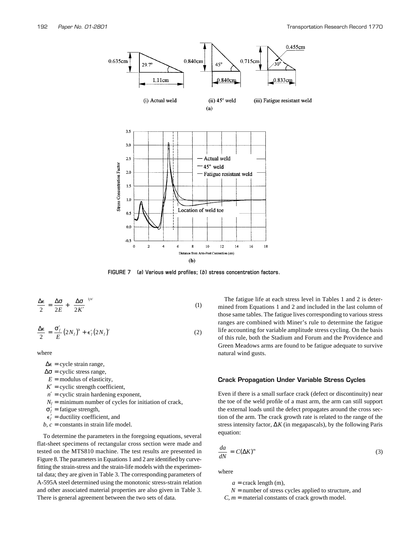

**FIGURE 7 (***a***) Various weld profiles; (** *b***) stress concentration factors.**

$$
\frac{\Delta \epsilon}{2} = \frac{\Delta \sigma}{2E} + \left(\frac{\Delta \sigma}{2K'}\right)^{1/n'}\tag{1}
$$

$$
\frac{\Delta \epsilon}{2} = \frac{\sigma_f'}{E} (2N_f)^b + \epsilon_f' (2N_f)^c \tag{2}
$$

where

 $\Delta \epsilon$  = cycle strain range,

 $\Delta \sigma$  = cyclic stress range,

 $E =$  modulus of elasticity,

 $K'$  = cyclic strength coefficient,

 $n'$  = cyclic strain hardening exponent,

 $N_f$  = minimum number of cycles for initiation of crack,

σ*f*  $=$  fatigue strength,

$$
\epsilon'_f
$$
 = ductility coefficient, and

*,*  $*c*$  *= constants in strain life model.* 

To determine the parameters in the foregoing equations, several flat-sheet specimens of rectangular cross section were made and tested on the MTS810 machine. The test results are presented in Figure 8. The parameters in Equations 1 and 2 are identified by curvefitting the strain-stress and the strain-life models with the experimental data; they are given in Table 3. The corresponding parameters of A-595A steel determined using the monotonic stress-strain relation and other associated material properties are also given in Table 3. There is general agreement between the two sets of data.

The fatigue life at each stress level in Tables 1 and 2 is determined from Equations 1 and 2 and included in the last column of those same tables. The fatigue lives corresponding to various stress ranges are combined with Miner's rule to determine the fatigue life accounting for variable amplitude stress cycling. On the basis of this rule, both the Stadium and Forum and the Providence and Green Meadows arms are found to be fatigue adequate to survive natural wind gusts.

#### **Crack Propagation Under Variable Stress Cycles**

Even if there is a small surface crack (defect or discontinuity) near the toe of the weld profile of a mast arm, the arm can still support the external loads until the defect propagates around the cross section of the arm. The crack growth rate is related to the range of the stress intensity factor, ∆*K* (in megapascals), by the following Paris equation:

$$
\frac{da}{dN} = C(\Delta K)^m \tag{3}
$$

where

 $a =$  crack length (m),

 $N =$  number of stress cycles applied to structure, and

 $C, m$  = material constants of crack growth model.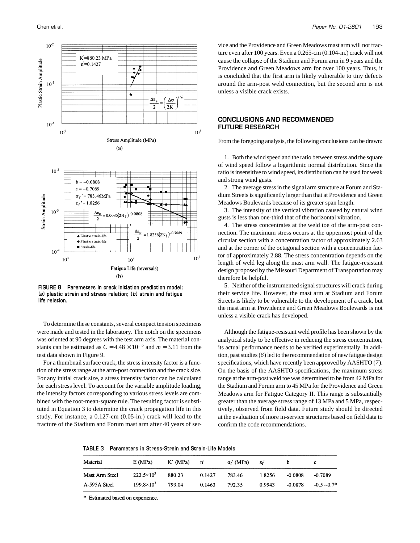

**FIGURE 8 Parameters in crack initiation prediction model: (***a***) plastic strain and stress relation; (** *b***) strain and fatigue life relation.**

To determine these constants, several compact tension specimens were made and tested in the laboratory. The notch on the specimens was oriented at 90 degrees with the test arm axis. The material constants can be estimated as  $C = 4.48 \times 10^{-12}$  and  $m = 3.11$  from the test data shown in Figure 9.

For a thumbnail surface crack, the stress intensity factor is a function of the stress range at the arm-post connection and the crack size. For any initial crack size, a stress intensity factor can be calculated for each stress level. To account for the variable amplitude loading, the intensity factors corresponding to various stress levels are combined with the root-mean-square rule. The resulting factor is substituted in Equation 3 to determine the crack propagation life in this study. For instance, a 0.127-cm (0.05-in.) crack will lead to the fracture of the Stadium and Forum mast arm after 40 years of ser-

vice and the Providence and Green Meadows mast arm will not fracture even after 100 years. Even a 0.265-cm (0.104-in.) crack will not cause the collapse of the Stadium and Forum arm in 9 years and the Providence and Green Meadows arm for over 100 years. Thus, it is concluded that the first arm is likely vulnerable to tiny defects around the arm-post weld connection, but the second arm is not unless a visible crack exists.

## **CONCLUSIONS AND RECOMMENDED FUTURE RESEARCH**

From the foregoing analysis, the following conclusions can be drawn:

1. Both the wind speed and the ratio between stress and the square of wind speed follow a logarithmic normal distribution. Since the ratio is insensitive to wind speed, its distribution can be used for weak and strong wind gusts.

2. The average stress in the signal arm structure at Forum and Stadium Streets is significantly larger than that at Providence and Green Meadows Boulevards because of its greater span length.

3. The intensity of the vertical vibration caused by natural wind gusts is less than one-third that of the horizontal vibration.

4. The stress concentrates at the weld toe of the arm-post connection. The maximum stress occurs at the uppermost point of the circular section with a concentration factor of approximately 2.63 and at the corner of the octagonal section with a concentration factor of approximately 2.88. The stress concentration depends on the length of weld leg along the mast arm wall. The fatigue-resistant design proposed by the Missouri Department of Transportation may therefore be helpful.

5. Neither of the instrumented signal structures will crack during their service life. However, the mast arm at Stadium and Forum Streets is likely to be vulnerable to the development of a crack, but the mast arm at Providence and Green Meadows Boulevards is not unless a visible crack has developed.

Although the fatigue-resistant weld profile has been shown by the analytical study to be effective in reducing the stress concentration, its actual performance needs to be verified experimentally. In addition, past studies (*6*) led to the recommendation of new fatigue design specifications, which have recently been approved by AASHTO (*7*). On the basis of the AASHTO specifications, the maximum stress range at the arm-post weld toe was determined to be from 42 MPa for the Stadium and Forum arm to 45 MPa for the Providence and Green Meadows arm for Fatigue Category II. This range is substantially greater than the average stress range of 13 MPa and 5 MPa, respectively, observed from field data. Future study should be directed at the evaluation of more in-service structures based on field data to confirm the code recommendations.

**TABLE 3 Parameters in Stress-Strain and Strain-Life Models**

| Material       | E(MPa)              | K' (MPa) | n'     | $\sigma_f'$ (MPa) | εŕ     |           | с             |
|----------------|---------------------|----------|--------|-------------------|--------|-----------|---------------|
| Mast Arm Steel | $222.5 \times 10^3$ | 880.23   | 0.1427 | 783.46            | 1.8256 | -0.0808   | $-0.7089$     |
| A-595A Steel   | $199.8 \times 10^3$ | 793.04   | 0.1463 | 792.35            | 0.9943 | $-0.0878$ | $-0.5 - 0.7*$ |

\* Estimated based on experience.